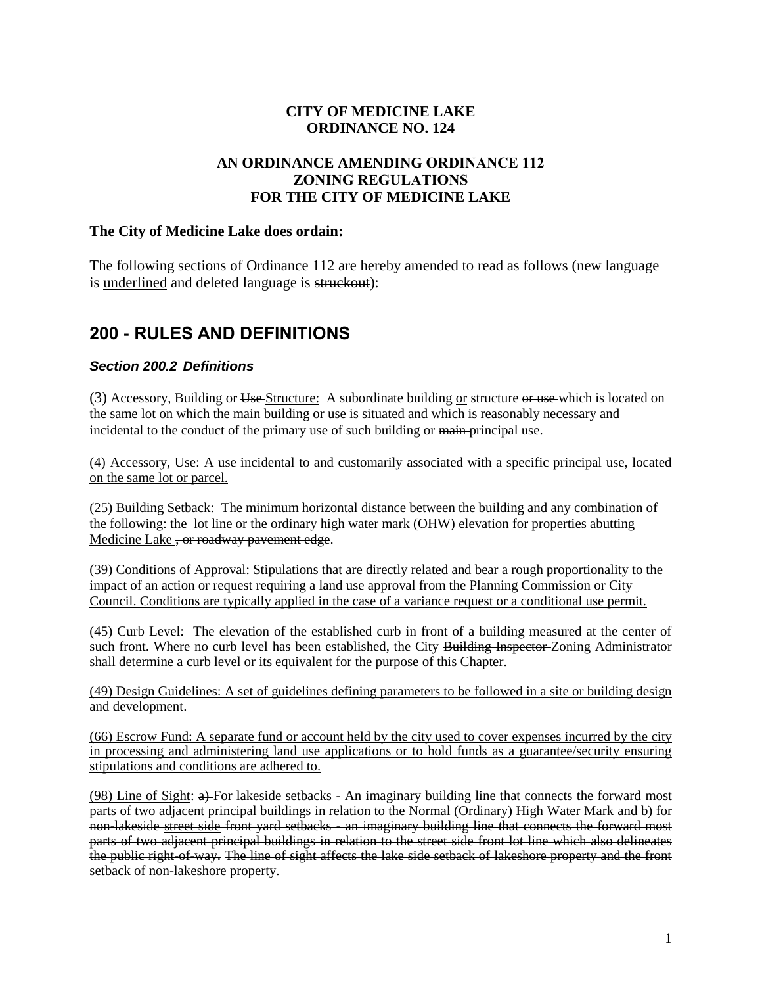### **CITY OF MEDICINE LAKE ORDINANCE NO. 124**

### **AN ORDINANCE AMENDING ORDINANCE 112 ZONING REGULATIONS FOR THE CITY OF MEDICINE LAKE**

#### **The City of Medicine Lake does ordain:**

The following sections of Ordinance 112 are hereby amended to read as follows (new language is underlined and deleted language is struckout):

### **200 - RULES AND DEFINITIONS**

#### *Section 200.2 Definitions*

(3) Accessory, Building or Use-Structure: A subordinate building or structure or use-which is located on the same lot on which the main building or use is situated and which is reasonably necessary and incidental to the conduct of the primary use of such building or main-principal use.

(4) Accessory, Use: A use incidental to and customarily associated with a specific principal use, located on the same lot or parcel.

(25) Building Setback: The minimum horizontal distance between the building and any combination of the following: the lot line or the ordinary high water mark (OHW) elevation for properties abutting Medicine Lake <del>, or roadway pavement edge</del>.

(39) Conditions of Approval: Stipulations that are directly related and bear a rough proportionality to the impact of an action or request requiring a land use approval from the Planning Commission or City Council. Conditions are typically applied in the case of a variance request or a conditional use permit.

(45) Curb Level: The elevation of the established curb in front of a building measured at the center of such front. Where no curb level has been established, the City Building Inspector Zoning Administrator shall determine a curb level or its equivalent for the purpose of this Chapter.

(49) Design Guidelines: A set of guidelines defining parameters to be followed in a site or building design and development.

(66) Escrow Fund: A separate fund or account held by the city used to cover expenses incurred by the city in processing and administering land use applications or to hold funds as a guarantee/security ensuring stipulations and conditions are adhered to.

(98) Line of Sight:  $\theta$ ) For lakeside setbacks - An imaginary building line that connects the forward most parts of two adjacent principal buildings in relation to the Normal (Ordinary) High Water Mark and b) for non-lakeside street side front yard setbacks - an imaginary building line that connects the forward most parts of two adjacent principal buildings in relation to the street side front lot line which also delineates the public right-of-way. The line of sight affects the lake side setback of lakeshore property and the front setback of non-lakeshore property.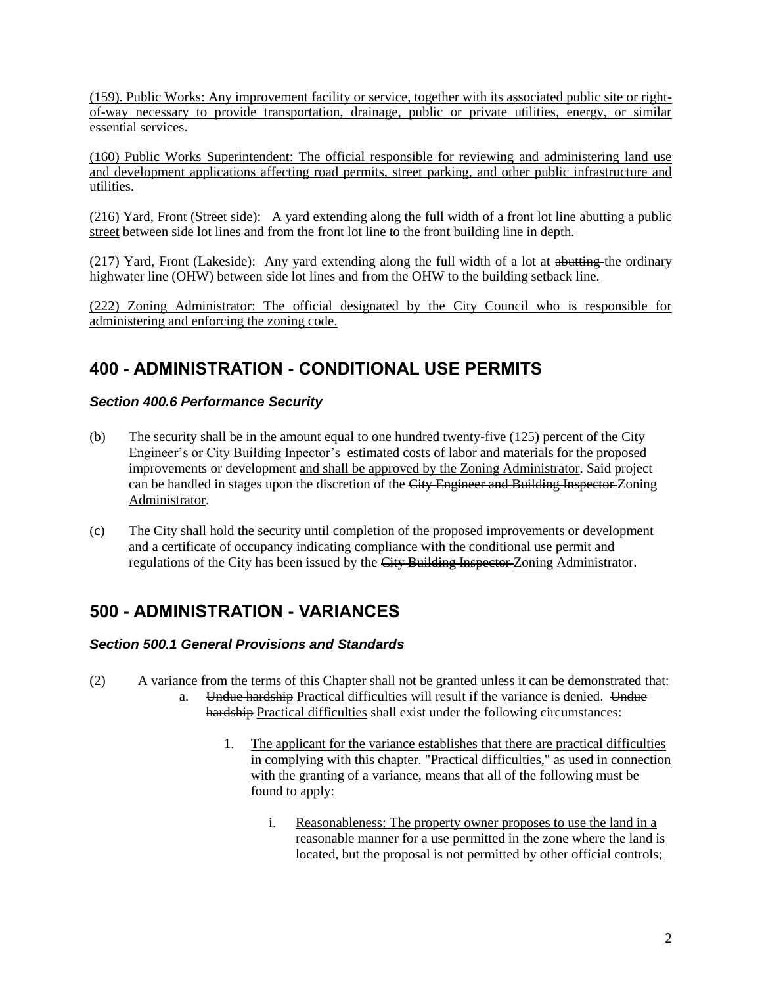(159). Public Works: Any improvement facility or service, together with its associated public site or rightof-way necessary to provide transportation, drainage, public or private utilities, energy, or similar essential services.

(160) Public Works Superintendent: The official responsible for reviewing and administering land use and development applications affecting road permits, street parking, and other public infrastructure and utilities.

(216) Yard, Front (Street side): A yard extending along the full width of a front lot line abutting a public street between side lot lines and from the front lot line to the front building line in depth.

 $(217)$  Yard, Front (Lakeside): Any yard extending along the full width of a lot at abutting the ordinary highwater line (OHW) between side lot lines and from the OHW to the building setback line.

(222) Zoning Administrator: The official designated by the City Council who is responsible for administering and enforcing the zoning code.

## **400 - ADMINISTRATION - CONDITIONAL USE PERMITS**

### *Section 400.6 Performance Security*

- (b) The security shall be in the amount equal to one hundred twenty-five  $(125)$  percent of the City Engineer's or City Building Inpector's estimated costs of labor and materials for the proposed improvements or development and shall be approved by the Zoning Administrator. Said project can be handled in stages upon the discretion of the City Engineer and Building Inspector-Zoning Administrator.
- (c) The City shall hold the security until completion of the proposed improvements or development and a certificate of occupancy indicating compliance with the conditional use permit and regulations of the City has been issued by the City Building Inspector Zoning Administrator.

# **500 - ADMINISTRATION - VARIANCES**

### *Section 500.1 General Provisions and Standards*

- (2) A variance from the terms of this Chapter shall not be granted unless it can be demonstrated that: a. Undue hardship Practical difficulties will result if the variance is denied. Undue hardship Practical difficulties shall exist under the following circumstances:
	- 1. The applicant for the variance establishes that there are practical difficulties in complying with this chapter. "Practical difficulties," as used in connection with the granting of a variance, means that all of the following must be found to apply:
		- i. Reasonableness: The property owner proposes to use the land in a reasonable manner for a use permitted in the zone where the land is located, but the proposal is not permitted by other official controls;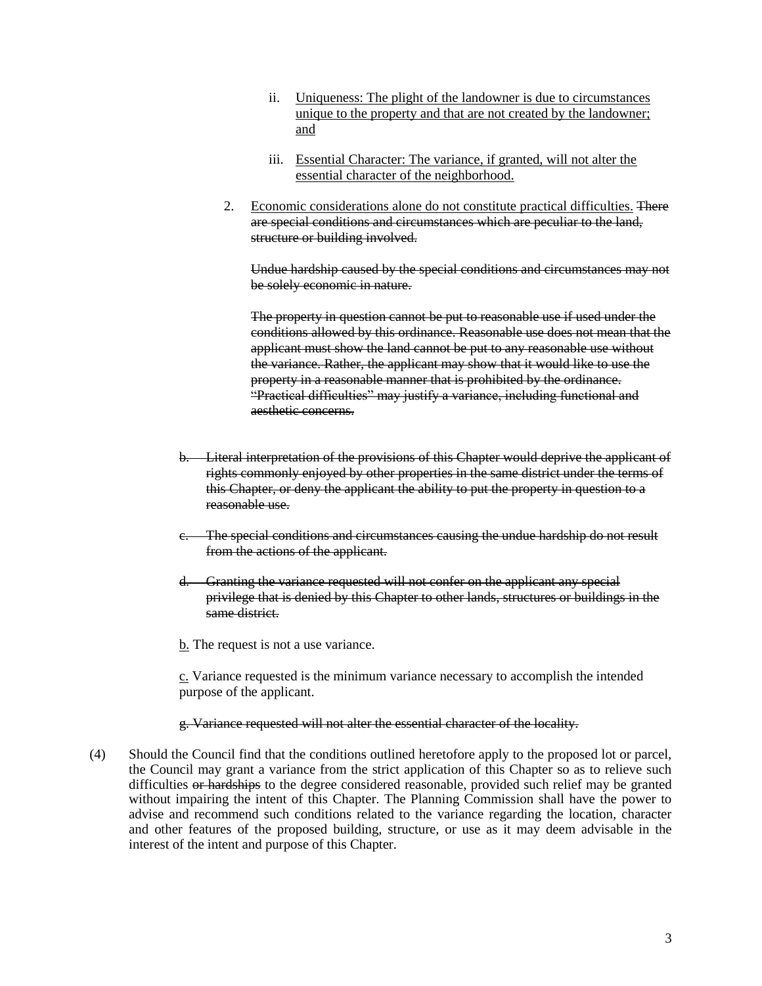- ii. Uniqueness: The plight of the landowner is due to circumstances unique to the property and that are not created by the landowner; and
- iii. Essential Character: The variance, if granted, will not alter the essential character of the neighborhood.
- 2. Economic considerations alone do not constitute practical difficulties. There are special conditions and circumstances which are peculiar to the land, structure or building involved.

Undue hardship caused by the special conditions and circumstances may not be solely economic in nature.

The property in question cannot be put to reasonable use if used under the conditions allowed by this ordinance. Reasonable use does not mean that the applicant must show the land cannot be put to any reasonable use without the variance. Rather, the applicant may show that it would like to use the property in a reasonable manner that is prohibited by the ordinance. "Practical difficulties" may justify a variance, including functional and aesthetic concerns.

- b. Literal interpretation of the provisions of this Chapter would deprive the applicant of rights commonly enjoyed by other properties in the same district under the terms of this Chapter, or deny the applicant the ability to put the property in question to a reasonable use.
- c. The special conditions and circumstances causing the undue hardship do not result from the actions of the applicant.
- d. Granting the variance requested will not confer on the applicant any special privilege that is denied by this Chapter to other lands, structures or buildings in the same district.
- b. The request is not a use variance.

c. Variance requested is the minimum variance necessary to accomplish the intended purpose of the applicant.

#### g. Variance requested will not alter the essential character of the locality.

(4) Should the Council find that the conditions outlined heretofore apply to the proposed lot or parcel, the Council may grant a variance from the strict application of this Chapter so as to relieve such difficulties or hardships to the degree considered reasonable, provided such relief may be granted without impairing the intent of this Chapter. The Planning Commission shall have the power to advise and recommend such conditions related to the variance regarding the location, character and other features of the proposed building, structure, or use as it may deem advisable in the interest of the intent and purpose of this Chapter.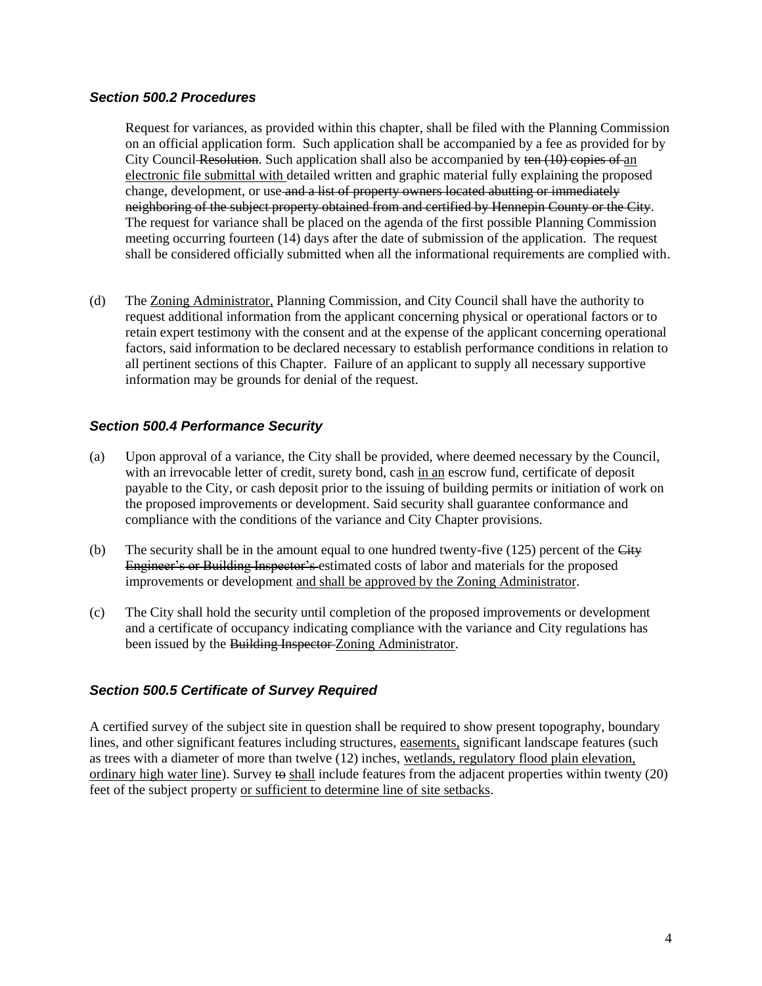#### *Section 500.2 Procedures*

Request for variances, as provided within this chapter, shall be filed with the Planning Commission on an official application form. Such application shall be accompanied by a fee as provided for by City Council Resolution. Such application shall also be accompanied by ten (10) copies of an electronic file submittal with detailed written and graphic material fully explaining the proposed change, development, or use and a list of property owners located abutting or immediately neighboring of the subject property obtained from and certified by Hennepin County or the City. The request for variance shall be placed on the agenda of the first possible Planning Commission meeting occurring fourteen (14) days after the date of submission of the application. The request shall be considered officially submitted when all the informational requirements are complied with.

(d) The Zoning Administrator, Planning Commission, and City Council shall have the authority to request additional information from the applicant concerning physical or operational factors or to retain expert testimony with the consent and at the expense of the applicant concerning operational factors, said information to be declared necessary to establish performance conditions in relation to all pertinent sections of this Chapter. Failure of an applicant to supply all necessary supportive information may be grounds for denial of the request.

#### *Section 500.4 Performance Security*

- (a) Upon approval of a variance, the City shall be provided, where deemed necessary by the Council, with an irrevocable letter of credit, surety bond, cash in an escrow fund, certificate of deposit payable to the City, or cash deposit prior to the issuing of building permits or initiation of work on the proposed improvements or development. Said security shall guarantee conformance and compliance with the conditions of the variance and City Chapter provisions.
- (b) The security shall be in the amount equal to one hundred twenty-five  $(125)$  percent of the City Engineer's or Building Inspector's estimated costs of labor and materials for the proposed improvements or development and shall be approved by the Zoning Administrator.
- (c) The City shall hold the security until completion of the proposed improvements or development and a certificate of occupancy indicating compliance with the variance and City regulations has been issued by the Building Inspector Zoning Administrator.

#### *Section 500.5 Certificate of Survey Required*

A certified survey of the subject site in question shall be required to show present topography, boundary lines, and other significant features including structures, easements, significant landscape features (such as trees with a diameter of more than twelve (12) inches, wetlands, regulatory flood plain elevation, ordinary high water line). Survey to shall include features from the adjacent properties within twenty (20) feet of the subject property or sufficient to determine line of site setbacks.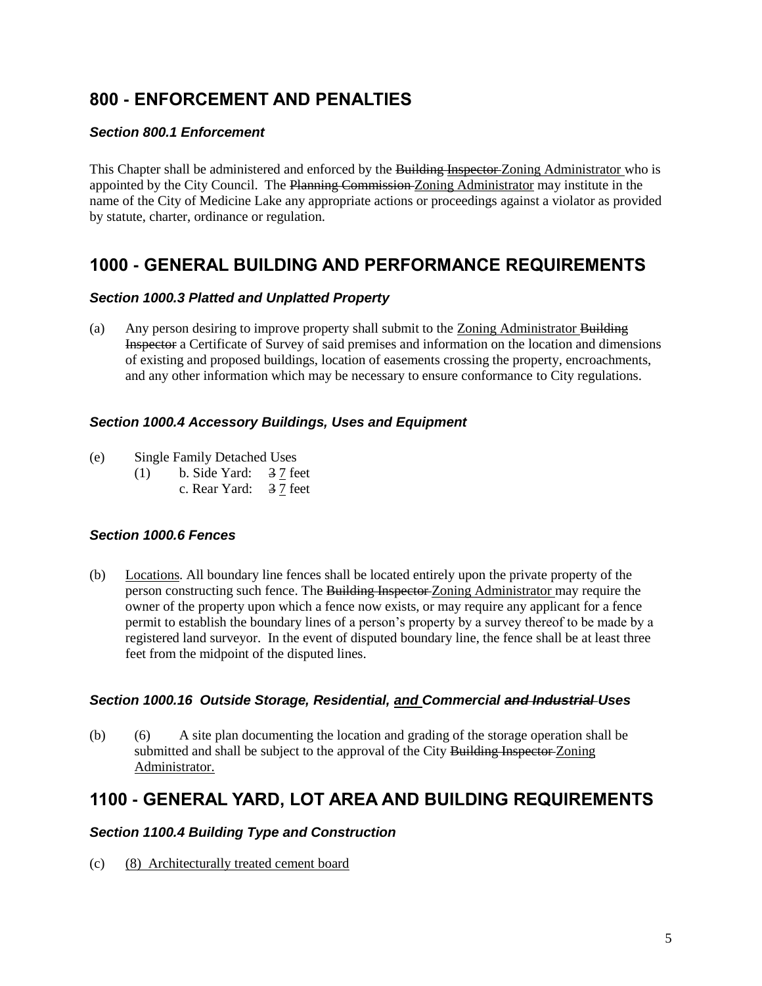## **800 - ENFORCEMENT AND PENALTIES**

### *Section 800.1 Enforcement*

This Chapter shall be administered and enforced by the Building Inspector-Zoning Administrator who is appointed by the City Council. The Planning Commission Zoning Administrator may institute in the name of the City of Medicine Lake any appropriate actions or proceedings against a violator as provided by statute, charter, ordinance or regulation.

## **1000 - GENERAL BUILDING AND PERFORMANCE REQUIREMENTS**

#### *Section 1000.3 Platted and Unplatted Property*

(a) Any person desiring to improve property shall submit to the Zoning Administrator Building Inspector a Certificate of Survey of said premises and information on the location and dimensions of existing and proposed buildings, location of easements crossing the property, encroachments, and any other information which may be necessary to ensure conformance to City regulations.

#### *Section 1000.4 Accessory Buildings, Uses and Equipment*

- (e) Single Family Detached Uses
	- (1) b. Side Yard: 3 7 feet
		- c. Rear Yard: 3 7 feet

#### *Section 1000.6 Fences*

(b) Locations. All boundary line fences shall be located entirely upon the private property of the person constructing such fence. The Building Inspector Zoning Administrator may require the owner of the property upon which a fence now exists, or may require any applicant for a fence permit to establish the boundary lines of a person's property by a survey thereof to be made by a registered land surveyor. In the event of disputed boundary line, the fence shall be at least three feet from the midpoint of the disputed lines.

#### *Section 1000.16 Outside Storage, Residential, and Commercial and Industrial Uses*

(b) (6) A site plan documenting the location and grading of the storage operation shall be submitted and shall be subject to the approval of the City Building Inspector-Zoning Administrator.

## **1100 - GENERAL YARD, LOT AREA AND BUILDING REQUIREMENTS**

#### *Section 1100.4 Building Type and Construction*

(c) (8) Architecturally treated cement board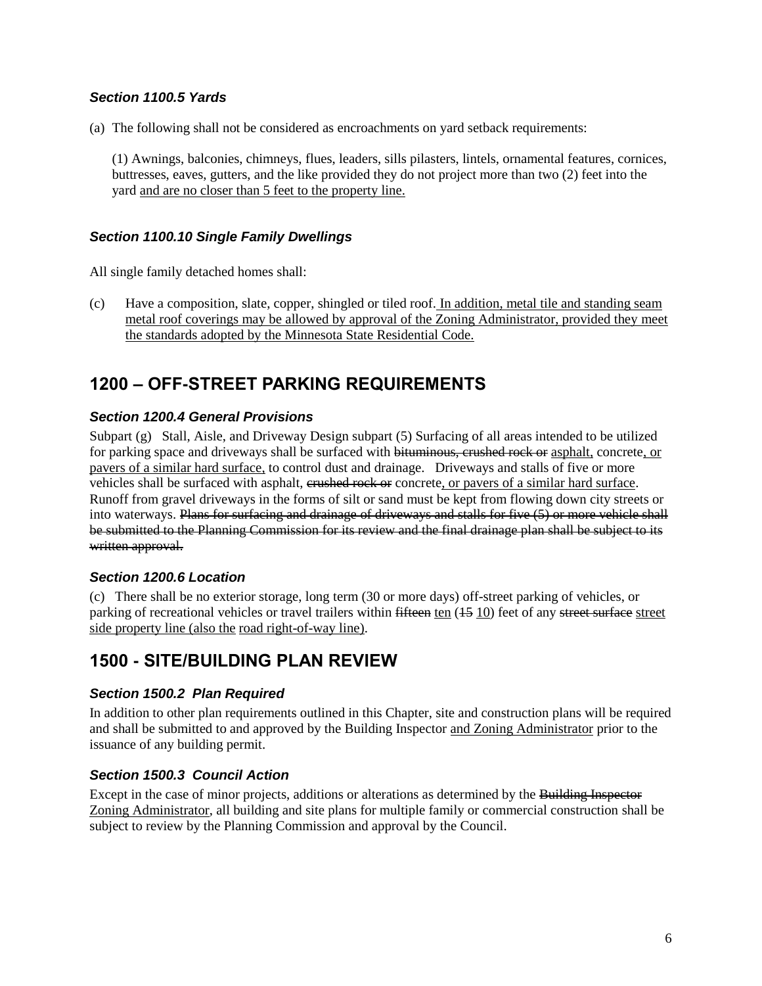### *Section 1100.5 Yards*

(a) The following shall not be considered as encroachments on yard setback requirements:

(1) Awnings, balconies, chimneys, flues, leaders, sills pilasters, lintels, ornamental features, cornices, buttresses, eaves, gutters, and the like provided they do not project more than two (2) feet into the yard and are no closer than 5 feet to the property line.

### *Section 1100.10 Single Family Dwellings*

All single family detached homes shall:

(c) Have a composition, slate, copper, shingled or tiled roof. In addition, metal tile and standing seam metal roof coverings may be allowed by approval of the Zoning Administrator, provided they meet the standards adopted by the Minnesota State Residential Code.

## **1200 – OFF-STREET PARKING REQUIREMENTS**

### *Section 1200.4 General Provisions*

Subpart (g) Stall, Aisle, and Driveway Design subpart (5) Surfacing of all areas intended to be utilized for parking space and driveways shall be surfaced with bituminous, crushed rock or asphalt, concrete, or pavers of a similar hard surface, to control dust and drainage. Driveways and stalls of five or more vehicles shall be surfaced with asphalt, crushed rock or concrete, or pavers of a similar hard surface. Runoff from gravel driveways in the forms of silt or sand must be kept from flowing down city streets or into waterways. Plans for surfacing and drainage of driveways and stalls for five (5) or more vehicle shall be submitted to the Planning Commission for its review and the final drainage plan shall be subject to its written approval.

#### *Section 1200.6 Location*

(c) There shall be no exterior storage, long term (30 or more days) off-street parking of vehicles, or parking of recreational vehicles or travel trailers within fifteen ten (15 10) feet of any street surface street side property line (also the road right-of-way line).

## **1500 - SITE/BUILDING PLAN REVIEW**

#### *Section 1500.2 Plan Required*

In addition to other plan requirements outlined in this Chapter, site and construction plans will be required and shall be submitted to and approved by the Building Inspector and Zoning Administrator prior to the issuance of any building permit.

#### *Section 1500.3 Council Action*

Except in the case of minor projects, additions or alterations as determined by the Building Inspector Zoning Administrator, all building and site plans for multiple family or commercial construction shall be subject to review by the Planning Commission and approval by the Council.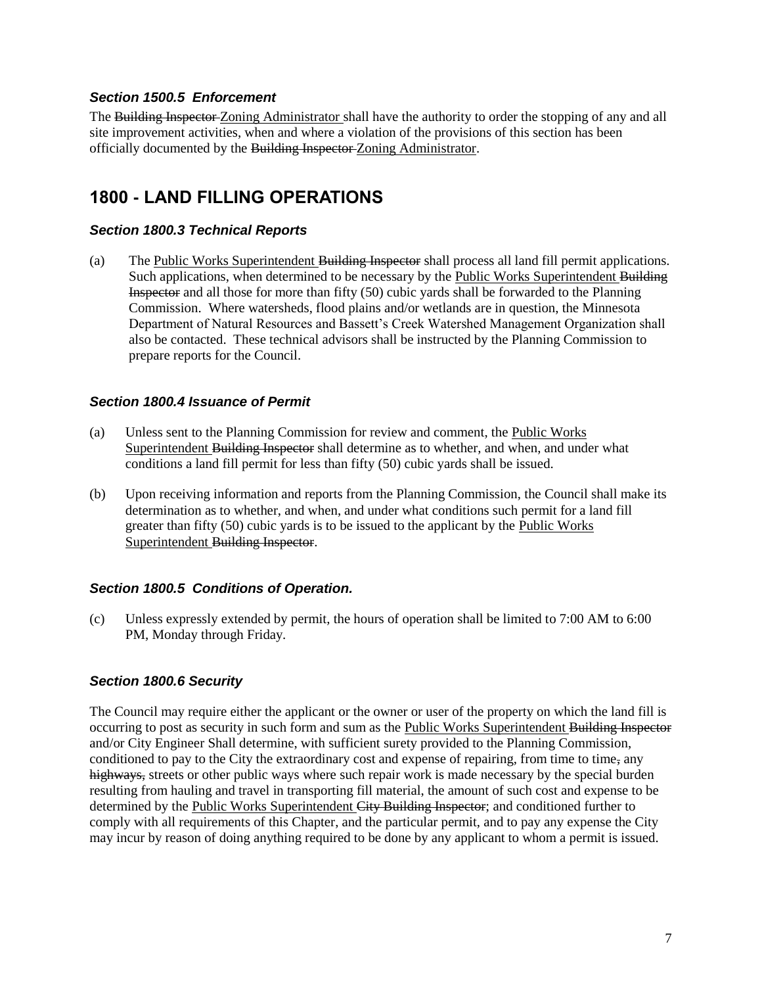#### *Section 1500.5 Enforcement*

The Building Inspector Zoning Administrator shall have the authority to order the stopping of any and all site improvement activities, when and where a violation of the provisions of this section has been officially documented by the Building Inspector Zoning Administrator.

## **1800 - LAND FILLING OPERATIONS**

#### *Section 1800.3 Technical Reports*

(a) The Public Works Superintendent Building Inspector shall process all land fill permit applications. Such applications, when determined to be necessary by the Public Works Superintendent Building Inspector and all those for more than fifty (50) cubic yards shall be forwarded to the Planning Commission. Where watersheds, flood plains and/or wetlands are in question, the Minnesota Department of Natural Resources and Bassett's Creek Watershed Management Organization shall also be contacted. These technical advisors shall be instructed by the Planning Commission to prepare reports for the Council.

#### *Section 1800.4 Issuance of Permit*

- (a) Unless sent to the Planning Commission for review and comment, the Public Works Superintendent Building Inspector shall determine as to whether, and when, and under what conditions a land fill permit for less than fifty (50) cubic yards shall be issued.
- (b) Upon receiving information and reports from the Planning Commission, the Council shall make its determination as to whether, and when, and under what conditions such permit for a land fill greater than fifty (50) cubic yards is to be issued to the applicant by the Public Works Superintendent Building Inspector.

#### *Section 1800.5 Conditions of Operation.*

(c) Unless expressly extended by permit, the hours of operation shall be limited to 7:00 AM to 6:00 PM, Monday through Friday.

#### *Section 1800.6 Security*

The Council may require either the applicant or the owner or user of the property on which the land fill is occurring to post as security in such form and sum as the Public Works Superintendent Building Inspector and/or City Engineer Shall determine, with sufficient surety provided to the Planning Commission, conditioned to pay to the City the extraordinary cost and expense of repairing, from time to time, any highways, streets or other public ways where such repair work is made necessary by the special burden resulting from hauling and travel in transporting fill material, the amount of such cost and expense to be determined by the Public Works Superintendent City Building Inspector; and conditioned further to comply with all requirements of this Chapter, and the particular permit, and to pay any expense the City may incur by reason of doing anything required to be done by any applicant to whom a permit is issued.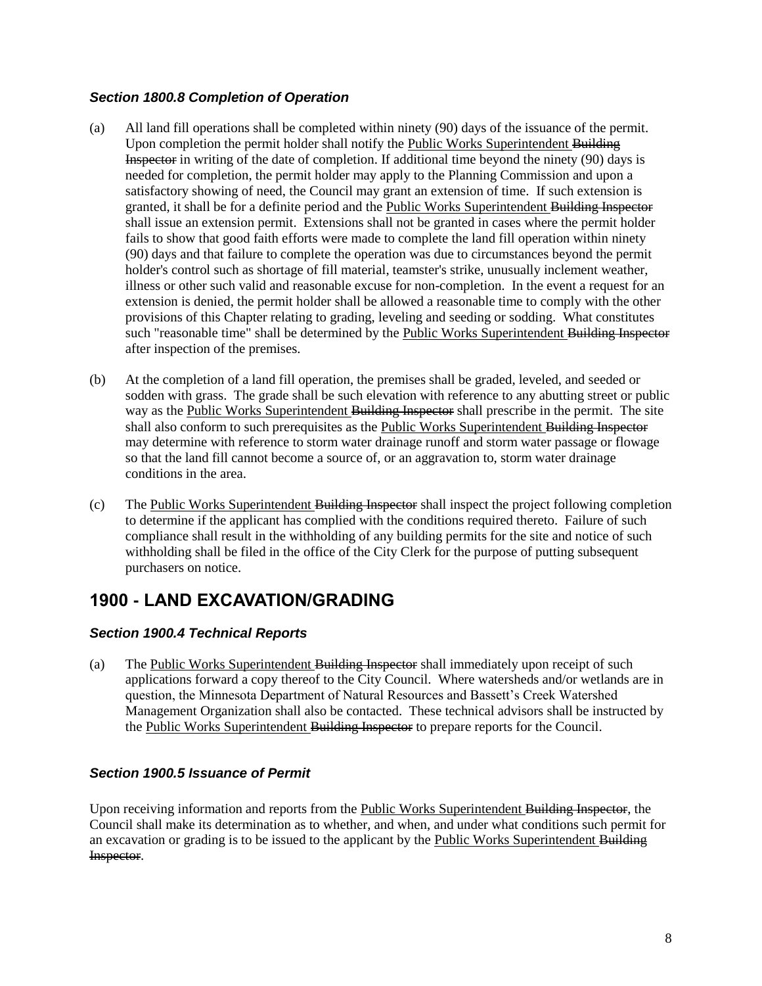### *Section 1800.8 Completion of Operation*

- (a) All land fill operations shall be completed within ninety (90) days of the issuance of the permit. Upon completion the permit holder shall notify the Public Works Superintendent Building Inspector in writing of the date of completion. If additional time beyond the ninety (90) days is needed for completion, the permit holder may apply to the Planning Commission and upon a satisfactory showing of need, the Council may grant an extension of time. If such extension is granted, it shall be for a definite period and the Public Works Superintendent Building Inspector shall issue an extension permit. Extensions shall not be granted in cases where the permit holder fails to show that good faith efforts were made to complete the land fill operation within ninety (90) days and that failure to complete the operation was due to circumstances beyond the permit holder's control such as shortage of fill material, teamster's strike, unusually inclement weather, illness or other such valid and reasonable excuse for non-completion. In the event a request for an extension is denied, the permit holder shall be allowed a reasonable time to comply with the other provisions of this Chapter relating to grading, leveling and seeding or sodding. What constitutes such "reasonable time" shall be determined by the Public Works Superintendent Building Inspector after inspection of the premises.
- (b) At the completion of a land fill operation, the premises shall be graded, leveled, and seeded or sodden with grass. The grade shall be such elevation with reference to any abutting street or public way as the Public Works Superintendent Building Inspector shall prescribe in the permit. The site shall also conform to such prerequisites as the Public Works Superintendent Building Inspector may determine with reference to storm water drainage runoff and storm water passage or flowage so that the land fill cannot become a source of, or an aggravation to, storm water drainage conditions in the area.
- (c) The Public Works Superintendent Building Inspector shall inspect the project following completion to determine if the applicant has complied with the conditions required thereto. Failure of such compliance shall result in the withholding of any building permits for the site and notice of such withholding shall be filed in the office of the City Clerk for the purpose of putting subsequent purchasers on notice.

## **1900 - LAND EXCAVATION/GRADING**

### *Section 1900.4 Technical Reports*

(a) The Public Works Superintendent Building Inspector shall immediately upon receipt of such applications forward a copy thereof to the City Council. Where watersheds and/or wetlands are in question, the Minnesota Department of Natural Resources and Bassett's Creek Watershed Management Organization shall also be contacted. These technical advisors shall be instructed by the Public Works Superintendent Building Inspector to prepare reports for the Council.

### *Section 1900.5 Issuance of Permit*

Upon receiving information and reports from the Public Works Superintendent Building Inspector, the Council shall make its determination as to whether, and when, and under what conditions such permit for an excavation or grading is to be issued to the applicant by the Public Works Superintendent Building Inspector.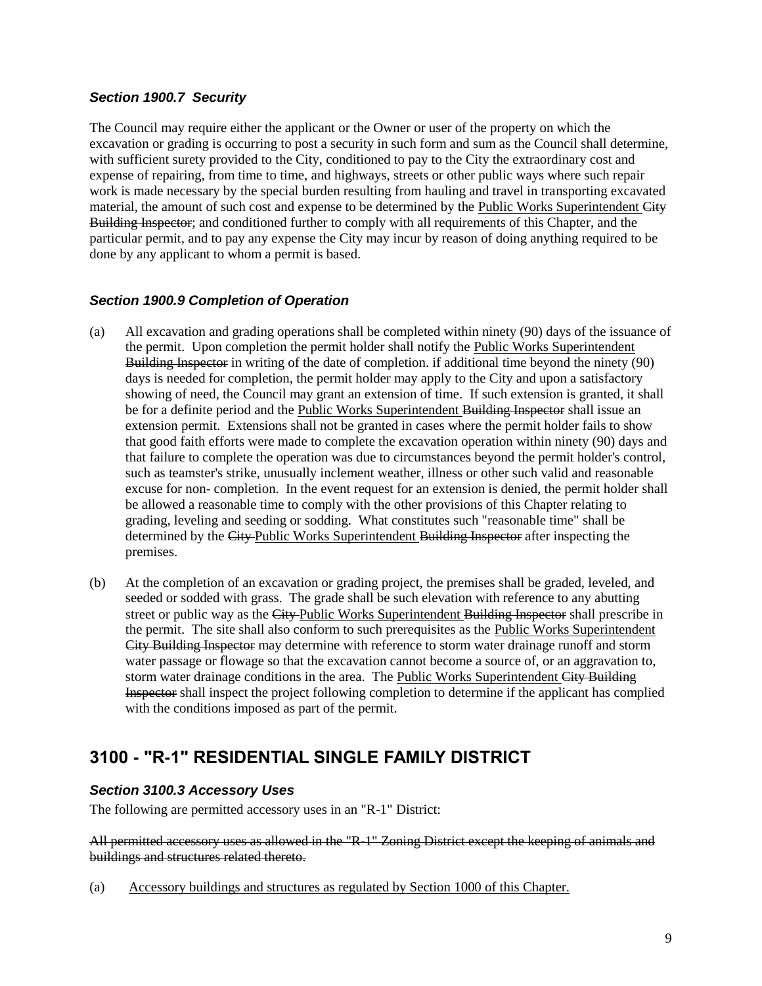#### *Section 1900.7 Security*

The Council may require either the applicant or the Owner or user of the property on which the excavation or grading is occurring to post a security in such form and sum as the Council shall determine, with sufficient surety provided to the City, conditioned to pay to the City the extraordinary cost and expense of repairing, from time to time, and highways, streets or other public ways where such repair work is made necessary by the special burden resulting from hauling and travel in transporting excavated material, the amount of such cost and expense to be determined by the Public Works Superintendent City Building Inspector; and conditioned further to comply with all requirements of this Chapter, and the particular permit, and to pay any expense the City may incur by reason of doing anything required to be done by any applicant to whom a permit is based.

### *Section 1900.9 Completion of Operation*

- (a) All excavation and grading operations shall be completed within ninety (90) days of the issuance of the permit. Upon completion the permit holder shall notify the Public Works Superintendent Building Inspector in writing of the date of completion. if additional time beyond the ninety (90) days is needed for completion, the permit holder may apply to the City and upon a satisfactory showing of need, the Council may grant an extension of time. If such extension is granted, it shall be for a definite period and the Public Works Superintendent Building Inspector shall issue an extension permit. Extensions shall not be granted in cases where the permit holder fails to show that good faith efforts were made to complete the excavation operation within ninety (90) days and that failure to complete the operation was due to circumstances beyond the permit holder's control, such as teamster's strike, unusually inclement weather, illness or other such valid and reasonable excuse for non- completion. In the event request for an extension is denied, the permit holder shall be allowed a reasonable time to comply with the other provisions of this Chapter relating to grading, leveling and seeding or sodding. What constitutes such "reasonable time" shall be determined by the City Public Works Superintendent Building Inspector after inspecting the premises.
- (b) At the completion of an excavation or grading project, the premises shall be graded, leveled, and seeded or sodded with grass. The grade shall be such elevation with reference to any abutting street or public way as the City-Public Works Superintendent Building Inspector shall prescribe in the permit. The site shall also conform to such prerequisites as the Public Works Superintendent City Building Inspector may determine with reference to storm water drainage runoff and storm water passage or flowage so that the excavation cannot become a source of, or an aggravation to, storm water drainage conditions in the area. The Public Works Superintendent City Building Inspector shall inspect the project following completion to determine if the applicant has complied with the conditions imposed as part of the permit.

## **3100 - "R-1" RESIDENTIAL SINGLE FAMILY DISTRICT**

### *Section 3100.3 Accessory Uses*

The following are permitted accessory uses in an "R-1" District:

All permitted accessory uses as allowed in the "R-1" Zoning District except the keeping of animals and buildings and structures related thereto.

(a) Accessory buildings and structures as regulated by Section 1000 of this Chapter.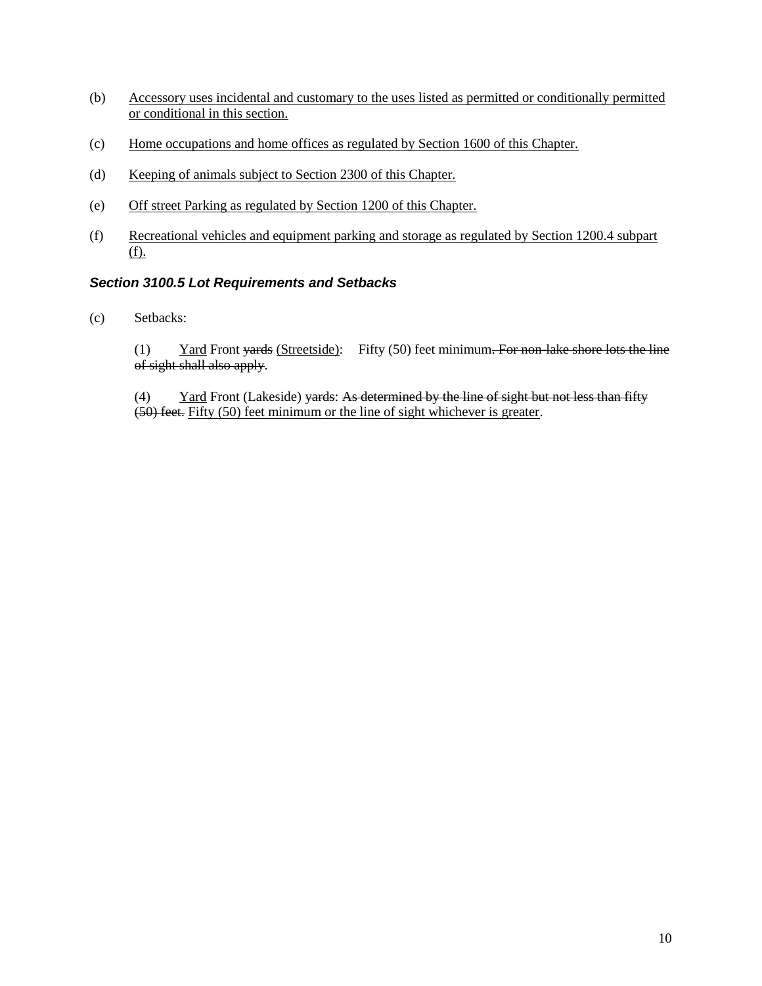- (b) Accessory uses incidental and customary to the uses listed as permitted or conditionally permitted or conditional in this section.
- (c) Home occupations and home offices as regulated by Section 1600 of this Chapter.
- (d) Keeping of animals subject to Section 2300 of this Chapter.
- (e) Off street Parking as regulated by Section 1200 of this Chapter.
- (f) Recreational vehicles and equipment parking and storage as regulated by Section 1200.4 subpart (f).

### *Section 3100.5 Lot Requirements and Setbacks*

(c) Setbacks:

(1) Yard Front yards (Streetside): Fifty  $(50)$  feet minimum. For non-lake shore lots the line of sight shall also apply.

(4) Yard Front (Lakeside) yards: As determined by the line of sight but not less than fifty (50) feet. Fifty (50) feet minimum or the line of sight whichever is greater.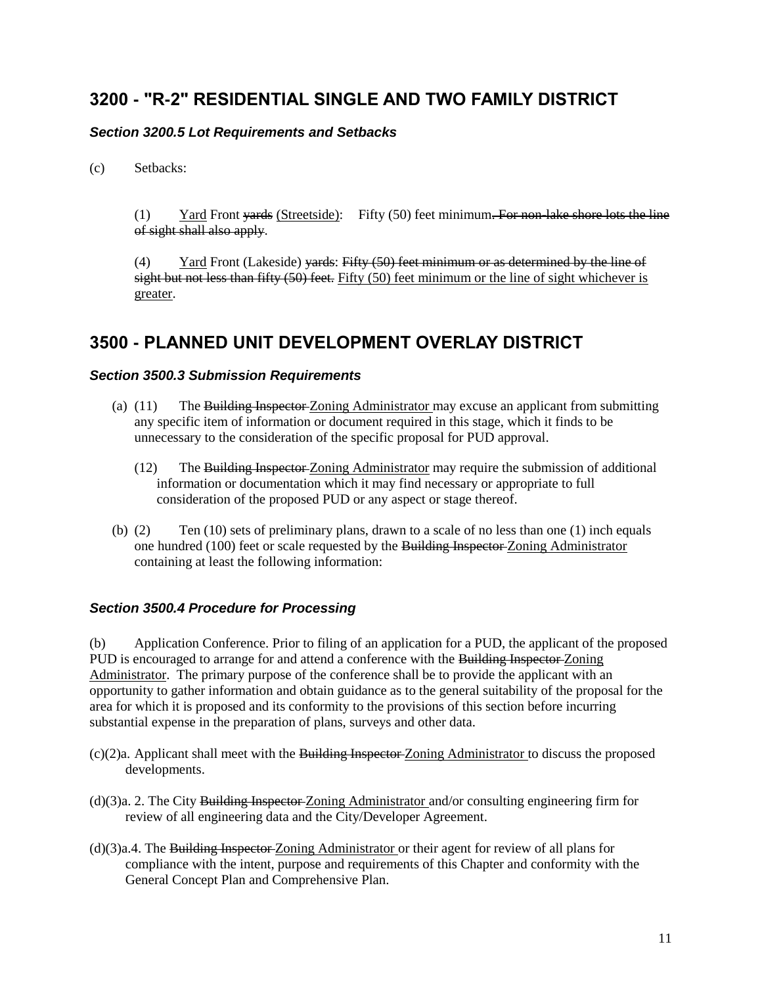### **3200 - "R-2" RESIDENTIAL SINGLE AND TWO FAMILY DISTRICT**

### *Section 3200.5 Lot Requirements and Setbacks*

(c) Setbacks:

(1) Yard Front vards (Streetside): Fifty (50) feet minimum. For non-lake shore lots the line of sight shall also apply.

 $(4)$  Yard Front (Lakeside) vards: Fifty  $(50)$  feet minimum or as determined by the line of sight but not less than fifty (50) feet. Fifty (50) feet minimum or the line of sight whichever is greater.

## **3500 - PLANNED UNIT DEVELOPMENT OVERLAY DISTRICT**

#### *Section 3500.3 Submission Requirements*

- (a)  $(11)$  The Building Inspector Zoning Administrator may excuse an applicant from submitting any specific item of information or document required in this stage, which it finds to be unnecessary to the consideration of the specific proposal for PUD approval.
	- (12) The Building Inspector Zoning Administrator may require the submission of additional information or documentation which it may find necessary or appropriate to full consideration of the proposed PUD or any aspect or stage thereof.
- (b)  $(2)$  Ten  $(10)$  sets of preliminary plans, drawn to a scale of no less than one  $(1)$  inch equals one hundred (100) feet or scale requested by the Building Inspector-Zoning Administrator containing at least the following information:

#### *Section 3500.4 Procedure for Processing*

(b) Application Conference. Prior to filing of an application for a PUD, the applicant of the proposed PUD is encouraged to arrange for and attend a conference with the Building Inspector Zoning Administrator. The primary purpose of the conference shall be to provide the applicant with an opportunity to gather information and obtain guidance as to the general suitability of the proposal for the area for which it is proposed and its conformity to the provisions of this section before incurring substantial expense in the preparation of plans, surveys and other data.

- (c)(2)a. Applicant shall meet with the Building Inspector Zoning Administrator to discuss the proposed developments.
- (d)(3)a. 2. The City Building Inspector Zoning Administrator and/or consulting engineering firm for review of all engineering data and the City/Developer Agreement.
- (d)(3)a.4. The Building Inspector Zoning Administrator or their agent for review of all plans for compliance with the intent, purpose and requirements of this Chapter and conformity with the General Concept Plan and Comprehensive Plan.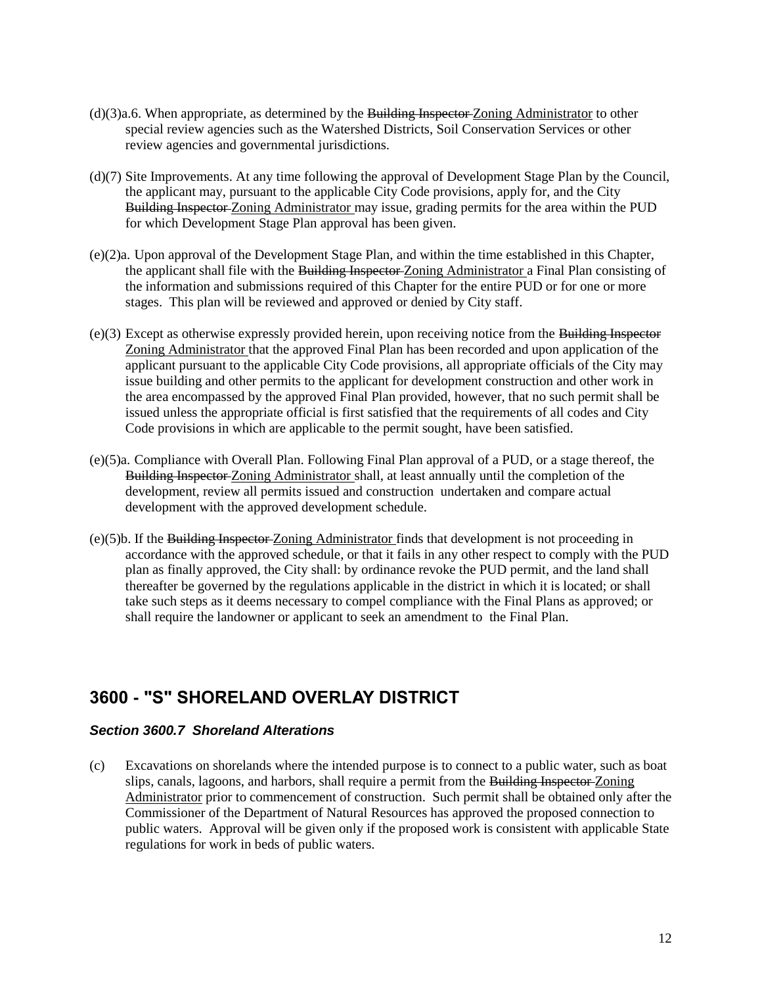- (d)(3)a.6. When appropriate, as determined by the Building Inspector Zoning Administrator to other special review agencies such as the Watershed Districts, Soil Conservation Services or other review agencies and governmental jurisdictions.
- (d)(7) Site Improvements. At any time following the approval of Development Stage Plan by the Council, the applicant may, pursuant to the applicable City Code provisions, apply for, and the City Building Inspector Zoning Administrator may issue, grading permits for the area within the PUD for which Development Stage Plan approval has been given.
- (e)(2)a. Upon approval of the Development Stage Plan, and within the time established in this Chapter, the applicant shall file with the Building Inspector Zoning Administrator a Final Plan consisting of the information and submissions required of this Chapter for the entire PUD or for one or more stages. This plan will be reviewed and approved or denied by City staff.
- (e)(3) Except as otherwise expressly provided herein, upon receiving notice from the Building Inspector Zoning Administrator that the approved Final Plan has been recorded and upon application of the applicant pursuant to the applicable City Code provisions, all appropriate officials of the City may issue building and other permits to the applicant for development construction and other work in the area encompassed by the approved Final Plan provided, however, that no such permit shall be issued unless the appropriate official is first satisfied that the requirements of all codes and City Code provisions in which are applicable to the permit sought, have been satisfied.
- (e)(5)a. Compliance with Overall Plan. Following Final Plan approval of a PUD, or a stage thereof, the Building Inspector Zoning Administrator shall, at least annually until the completion of the development, review all permits issued and construction undertaken and compare actual development with the approved development schedule.
- (e)(5)b. If the Building Inspector Zoning Administrator finds that development is not proceeding in accordance with the approved schedule, or that it fails in any other respect to comply with the PUD plan as finally approved, the City shall: by ordinance revoke the PUD permit, and the land shall thereafter be governed by the regulations applicable in the district in which it is located; or shall take such steps as it deems necessary to compel compliance with the Final Plans as approved; or shall require the landowner or applicant to seek an amendment to the Final Plan.

### **3600 - "S" SHORELAND OVERLAY DISTRICT**

#### *Section 3600.7 Shoreland Alterations*

(c) Excavations on shorelands where the intended purpose is to connect to a public water, such as boat slips, canals, lagoons, and harbors, shall require a permit from the Building Inspector Zoning Administrator prior to commencement of construction. Such permit shall be obtained only after the Commissioner of the Department of Natural Resources has approved the proposed connection to public waters. Approval will be given only if the proposed work is consistent with applicable State regulations for work in beds of public waters.